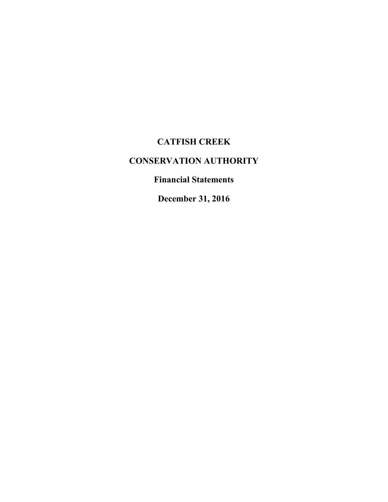# **Financial Statements**

**December 31, 2016**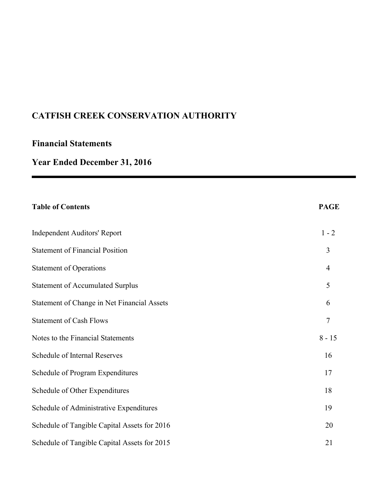# **Financial Statements**

# **Year Ended December 31, 2016**

| <b>Table of Contents</b>                     | <b>PAGE</b>    |
|----------------------------------------------|----------------|
| <b>Independent Auditors' Report</b>          | $1 - 2$        |
| <b>Statement of Financial Position</b>       | 3              |
| <b>Statement of Operations</b>               | $\overline{4}$ |
| <b>Statement of Accumulated Surplus</b>      | 5              |
| Statement of Change in Net Financial Assets  | 6              |
| <b>Statement of Cash Flows</b>               | $\overline{7}$ |
| Notes to the Financial Statements            | $8 - 15$       |
| Schedule of Internal Reserves                | 16             |
| Schedule of Program Expenditures             | 17             |
| Schedule of Other Expenditures               | 18             |
| Schedule of Administrative Expenditures      | 19             |
| Schedule of Tangible Capital Assets for 2016 | 20             |
| Schedule of Tangible Capital Assets for 2015 | 21             |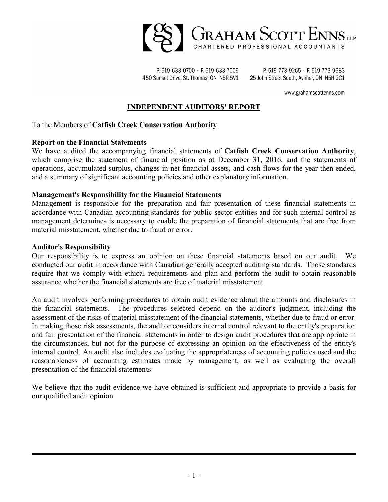

P. 519-633-0700 · F. 519-633-7009 450 Sunset Drive, St. Thomas, ON N5R 5V1

P. 519-773-9265 · F. 519-773-9683 25 John Street South, Aylmer, ON N5H 2C1

www.grahamscottenns.com

#### **INDEPENDENT AUDITORS' REPORT**

#### To the Members of **Catfish Creek Conservation Authority**:

#### **Report on the Financial Statements**

We have audited the accompanying financial statements of **Catfish Creek Conservation Authority**, which comprise the statement of financial position as at December 31, 2016, and the statements of operations, accumulated surplus, changes in net financial assets, and cash flows for the year then ended, and a summary of significant accounting policies and other explanatory information.

#### **Management's Responsibility for the Financial Statements**

Management is responsible for the preparation and fair presentation of these financial statements in accordance with Canadian accounting standards for public sector entities and for such internal control as management determines is necessary to enable the preparation of financial statements that are free from material misstatement, whether due to fraud or error.

#### **Auditor's Responsibility**

Our responsibility is to express an opinion on these financial statements based on our audit. We conducted our audit in accordance with Canadian generally accepted auditing standards. Those standards require that we comply with ethical requirements and plan and perform the audit to obtain reasonable assurance whether the financial statements are free of material misstatement.

An audit involves performing procedures to obtain audit evidence about the amounts and disclosures in the financial statements. The procedures selected depend on the auditor's judgment, including the assessment of the risks of material misstatement of the financial statements, whether due to fraud or error. In making those risk assessments, the auditor considers internal control relevant to the entity's preparation and fair presentation of the financial statements in order to design audit procedures that are appropriate in the circumstances, but not for the purpose of expressing an opinion on the effectiveness of the entity's internal control. An audit also includes evaluating the appropriateness of accounting policies used and the reasonableness of accounting estimates made by management, as well as evaluating the overall presentation of the financial statements.

We believe that the audit evidence we have obtained is sufficient and appropriate to provide a basis for our qualified audit opinion.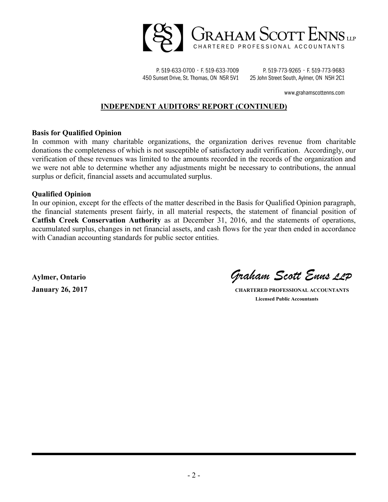

P. 519-633-0700 · F. 519-633-7009 450 Sunset Drive, St. Thomas, ON N5R 5V1

P. 519-773-9265 · F. 519-773-9683 25 John Street South, Aylmer, ON N5H 2C1

www.grahamscottenns.com

### **INDEPENDENT AUDITORS' REPORT (CONTINUED)**

#### **Basis for Qualified Opinion**

In common with many charitable organizations, the organization derives revenue from charitable donations the completeness of which is not susceptible of satisfactory audit verification. Accordingly, our verification of these revenues was limited to the amounts recorded in the records of the organization and we were not able to determine whether any adjustments might be necessary to contributions, the annual surplus or deficit, financial assets and accumulated surplus.

#### **Qualified Opinion**

In our opinion, except for the effects of the matter described in the Basis for Qualified Opinion paragraph, the financial statements present fairly, in all material respects, the statement of financial position of **Catfish Creek Conservation Authority** as at December 31, 2016, and the statements of operations, accumulated surplus, changes in net financial assets, and cash flows for the year then ended in accordance with Canadian accounting standards for public sector entities.

**Aylmer, Ontario** *Graham Scott Enns LLP*

**January 26, 2017 CHARTERED PROFESSIONAL ACCOUNTANTS Licensed Public Accountants**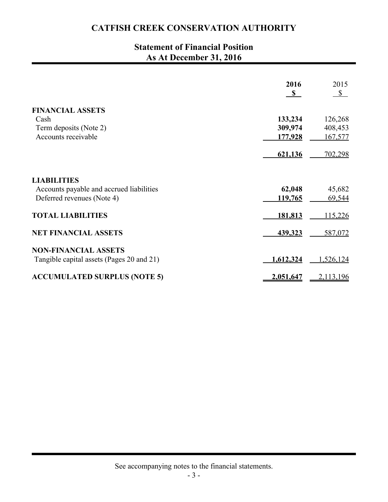# **Statement of Financial Position As At December 31, 2016**

|                                           | 2016         | 2015      |
|-------------------------------------------|--------------|-----------|
|                                           | $\mathbf{s}$ | $5$       |
| <b>FINANCIAL ASSETS</b>                   |              |           |
| Cash                                      | 133,234      | 126,268   |
| Term deposits (Note 2)                    | 309,974      | 408,453   |
| Accounts receivable                       | 177,928      | 167,577   |
|                                           | 621,136      | 702,298   |
| <b>LIABILITIES</b>                        |              |           |
| Accounts payable and accrued liabilities  | 62,048       | 45,682    |
| Deferred revenues (Note 4)                | 119,765      | 69,544    |
| <b>TOTAL LIABILITIES</b>                  | 181,813      | 115,226   |
| <b>NET FINANCIAL ASSETS</b>               | 439,323      | 587,072   |
| <b>NON-FINANCIAL ASSETS</b>               |              |           |
| Tangible capital assets (Pages 20 and 21) | 1,612,324    | 1,526,124 |
| <b>ACCUMULATED SURPLUS (NOTE 5)</b>       | 2,051,647    | 2,113,196 |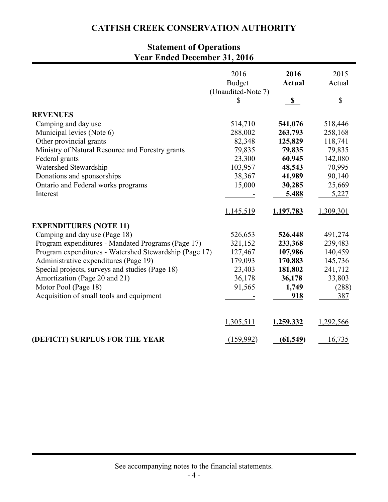# **Statement of Operations Year Ended December 31, 2016**

|                                                        | 2016<br><b>Budget</b><br>(Unaudited-Note 7)<br>\$ | 2016<br><b>Actual</b><br>$\mathbf S$ | 2015<br>Actual<br>$\mathbb{S}^-$ |
|--------------------------------------------------------|---------------------------------------------------|--------------------------------------|----------------------------------|
|                                                        |                                                   |                                      |                                  |
| <b>REVENUES</b>                                        |                                                   |                                      |                                  |
| Camping and day use                                    | 514,710                                           | 541,076                              | 518,446                          |
| Municipal levies (Note 6)<br>Other provincial grants   | 288,002<br>82,348                                 | 263,793<br>125,829                   | 258,168<br>118,741               |
| Ministry of Natural Resource and Forestry grants       | 79,835                                            | 79,835                               | 79,835                           |
| Federal grants                                         | 23,300                                            | 60,945                               | 142,080                          |
| Watershed Stewardship                                  | 103,957                                           | 48,543                               | 70,995                           |
| Donations and sponsorships                             | 38,367                                            | 41,989                               | 90,140                           |
| Ontario and Federal works programs                     | 15,000                                            | 30,285                               | 25,669                           |
| Interest                                               |                                                   | 5,488                                | 5,227                            |
|                                                        | 1,145,519                                         | 1,197,783                            | 1,309,301                        |
| <b>EXPENDITURES (NOTE 11)</b>                          |                                                   |                                      |                                  |
| Camping and day use (Page 18)                          | 526,653                                           | 526,448                              | 491,274                          |
| Program expenditures - Mandated Programs (Page 17)     | 321,152                                           | 233,368                              | 239,483                          |
| Program expenditures - Watershed Stewardship (Page 17) | 127,467                                           | 107,986                              | 140,459                          |
| Administrative expenditures (Page 19)                  | 179,093                                           | 170,883                              | 145,736                          |
| Special projects, surveys and studies (Page 18)        | 23,403                                            | 181,802                              | 241,712                          |
| Amortization (Page 20 and 21)                          | 36,178                                            | 36,178                               | 33,803                           |
| Motor Pool (Page 18)                                   | 91,565                                            | 1,749                                | (288)                            |
| Acquisition of small tools and equipment               |                                                   | 918                                  | 387                              |
|                                                        | 1,305,511                                         | 1,259,332                            | 1,292,566                        |
| (DEFICIT) SURPLUS FOR THE YEAR                         | (159,992)                                         | (61,549)                             | 16,735                           |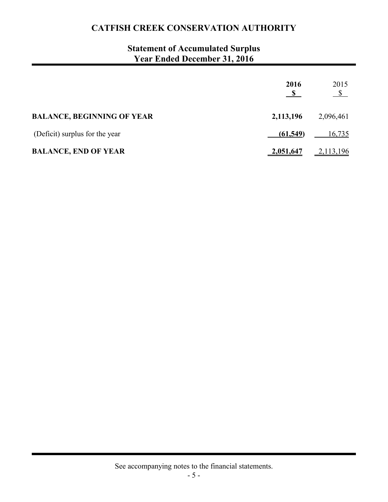# **Statement of Accumulated Surplus Year Ended December 31, 2016**

|                                   | 2016      | 2015<br>$\sqrt{s}$ |
|-----------------------------------|-----------|--------------------|
| <b>BALANCE, BEGINNING OF YEAR</b> | 2,113,196 | 2,096,461          |
| (Deficit) surplus for the year    | (61, 549) | <u>16,735</u>      |
| <b>BALANCE, END OF YEAR</b>       | 2,051,647 | 2,113,196          |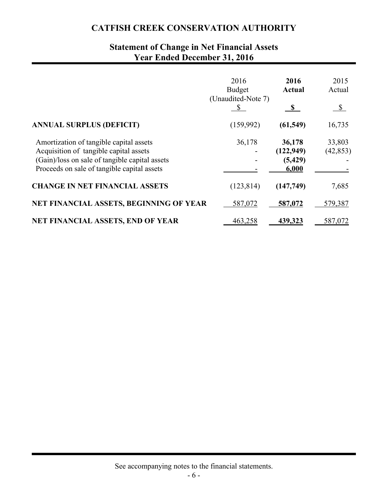# **Statement of Change in Net Financial Assets Year Ended December 31, 2016**

|                                                                                                                                                                                    | 2016<br><b>Budget</b><br>(Unaudited-Note 7) | 2016<br><b>Actual</b><br>\$               | 2015<br>Actual<br>$\mathbb{S}$ |
|------------------------------------------------------------------------------------------------------------------------------------------------------------------------------------|---------------------------------------------|-------------------------------------------|--------------------------------|
| <b>ANNUAL SURPLUS (DEFICIT)</b>                                                                                                                                                    | (159,992)                                   | (61, 549)                                 | 16,735                         |
| Amortization of tangible capital assets<br>Acquisition of tangible capital assets<br>(Gain)/loss on sale of tangible capital assets<br>Proceeds on sale of tangible capital assets | 36,178                                      | 36,178<br>(122, 949)<br>(5, 429)<br>6,000 | 33,803<br>(42, 853)            |
| <b>CHANGE IN NET FINANCIAL ASSETS</b>                                                                                                                                              | (123, 814)                                  | (147,749)                                 | 7,685                          |
| <b>NET FINANCIAL ASSETS, BEGINNING OF YEAR</b>                                                                                                                                     | 587,072                                     | 587,072                                   | 579,387                        |
| <b>NET FINANCIAL ASSETS, END OF YEAR</b>                                                                                                                                           | 463,258                                     | 439,323                                   | 587,072                        |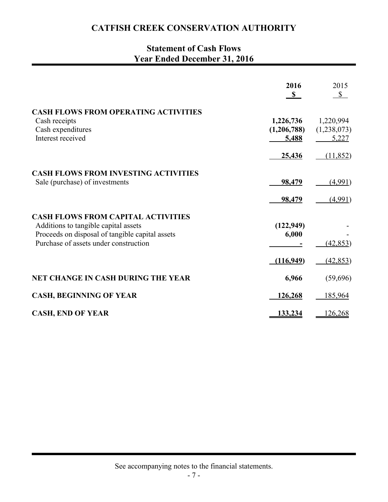# **Statement of Cash Flows Year Ended December 31, 2016**

|                                                                                                                                                                               | 2016<br>$\mathbf{s}$              | 2015<br>$\mathbb{S}$              |
|-------------------------------------------------------------------------------------------------------------------------------------------------------------------------------|-----------------------------------|-----------------------------------|
| <b>CASH FLOWS FROM OPERATING ACTIVITIES</b><br>Cash receipts<br>Cash expenditures<br>Interest received                                                                        | 1,226,736<br>(1,206,788)<br>5,488 | 1,220,994<br>(1,238,073)<br>5,227 |
|                                                                                                                                                                               | 25,436                            | (11, 852)                         |
| <b>CASH FLOWS FROM INVESTING ACTIVITIES</b><br>Sale (purchase) of investments                                                                                                 | 98,479<br><u>98,479</u>           | (4,991)<br>(4,991)                |
| <b>CASH FLOWS FROM CAPITAL ACTIVITIES</b><br>Additions to tangible capital assets<br>Proceeds on disposal of tangible capital assets<br>Purchase of assets under construction | (122, 949)<br>6,000               | (42, 853)                         |
|                                                                                                                                                                               | (116,949)                         | (42, 853)                         |
| NET CHANGE IN CASH DURING THE YEAR                                                                                                                                            | 6,966                             | (59,696)                          |
| <b>CASH, BEGINNING OF YEAR</b>                                                                                                                                                | 126,268                           | 185,964                           |
| <b>CASH, END OF YEAR</b>                                                                                                                                                      | 133,234                           | <u>126,268</u>                    |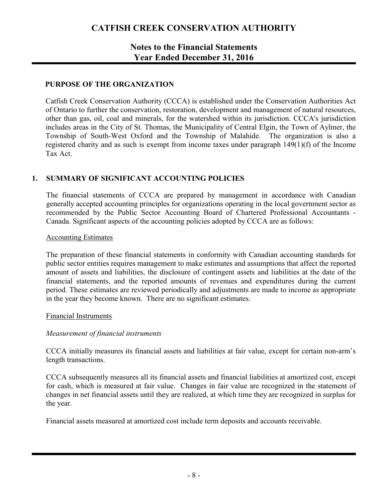### **Notes to the Financial Statements Year Ended December 31, 2016**

#### **PURPOSE OF THE ORGANIZATION**

Catfish Creek Conservation Authority (CCCA) is established under the Conservation Authorities Act of Ontario to further the conservation, restoration, development and management of natural resources, other than gas, oil, coal and minerals, for the watershed within its jurisdiction. CCCA's jurisdiction includes areas in the City of St. Thomas, the Municipality of Central Elgin, the Town of Aylmer, the Township of South-West Oxford and the Township of Malahide. The organization is also a registered charity and as such is exempt from income taxes under paragraph 149(1)(f) of the Income Tax Act.

#### **1. SUMMARY OF SIGNIFICANT ACCOUNTING POLICIES**

The financial statements of CCCA are prepared by management in accordance with Canadian generally accepted accounting principles for organizations operating in the local government sector as recommended by the Public Sector Accounting Board of Chartered Professional Accountants - Canada. Significant aspects of the accounting policies adopted by CCCA are as follows:

#### Accounting Estimates

The preparation of these financial statements in conformity with Canadian accounting standards for public sector entities requires management to make estimates and assumptions that affect the reported amount of assets and liabilities, the disclosure of contingent assets and liabilities at the date of the financial statements, and the reported amounts of revenues and expenditures during the current period. These estimates are reviewed periodically and adjustments are made to income as appropriate in the year they become known. There are no significant estimates.

#### Financial Instruments

#### *Measurement of financial instruments*

CCCA initially measures its financial assets and liabilities at fair value, except for certain non-arm's length transactions.

CCCA subsequently measures all its financial assets and financial liabilities at amortized cost, except for cash, which is measured at fair value. Changes in fair value are recognized in the statement of changes in net financial assets until they are realized, at which time they are recognized in surplus for the year.

Financial assets measured at amortized cost include term deposits and accounts receivable.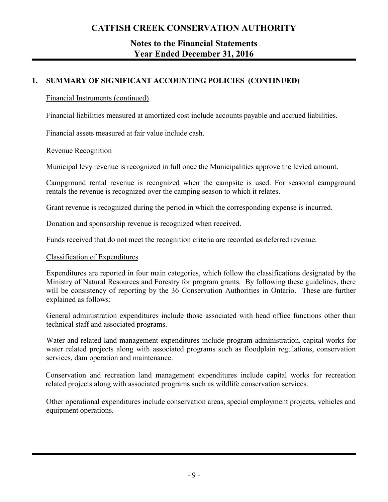### **Notes to the Financial Statements Year Ended December 31, 2016**

### **1. SUMMARY OF SIGNIFICANT ACCOUNTING POLICIES (CONTINUED)**

#### Financial Instruments (continued)

Financial liabilities measured at amortized cost include accounts payable and accrued liabilities.

Financial assets measured at fair value include cash.

#### Revenue Recognition

Municipal levy revenue is recognized in full once the Municipalities approve the levied amount.

Campground rental revenue is recognized when the campsite is used. For seasonal campground rentals the revenue is recognized over the camping season to which it relates.

Grant revenue is recognized during the period in which the corresponding expense is incurred.

Donation and sponsorship revenue is recognized when received.

Funds received that do not meet the recognition criteria are recorded as deferred revenue.

#### Classification of Expenditures

Expenditures are reported in four main categories, which follow the classifications designated by the Ministry of Natural Resources and Forestry for program grants. By following these guidelines, there will be consistency of reporting by the 36 Conservation Authorities in Ontario. These are further explained as follows:

General administration expenditures include those associated with head office functions other than technical staff and associated programs.

Water and related land management expenditures include program administration, capital works for water related projects along with associated programs such as floodplain regulations, conservation services, dam operation and maintenance.

Conservation and recreation land management expenditures include capital works for recreation related projects along with associated programs such as wildlife conservation services.

Other operational expenditures include conservation areas, special employment projects, vehicles and equipment operations.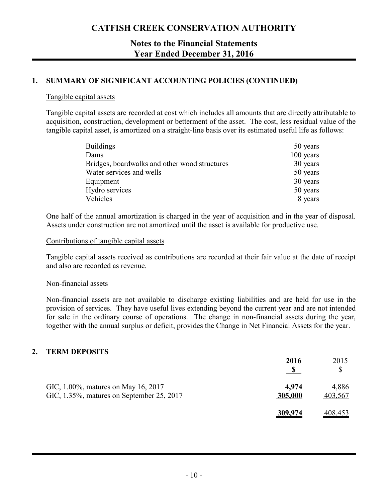### **Notes to the Financial Statements Year Ended December 31, 2016**

#### **1. SUMMARY OF SIGNIFICANT ACCOUNTING POLICIES (CONTINUED)**

#### Tangible capital assets

Tangible capital assets are recorded at cost which includes all amounts that are directly attributable to acquisition, construction, development or betterment of the asset. The cost, less residual value of the tangible capital asset, is amortized on a straight-line basis over its estimated useful life as follows:

| <b>Buildings</b>                              | 50 years  |
|-----------------------------------------------|-----------|
| Dams                                          | 100 years |
| Bridges, boardwalks and other wood structures | 30 years  |
| Water services and wells                      | 50 years  |
| Equipment                                     | 30 years  |
| Hydro services                                | 50 years  |
| Vehicles                                      | 8 years   |

One half of the annual amortization is charged in the year of acquisition and in the year of disposal. Assets under construction are not amortized until the asset is available for productive use.

#### Contributions of tangible capital assets

Tangible capital assets received as contributions are recorded at their fair value at the date of receipt and also are recorded as revenue.

#### Non-financial assets

Non-financial assets are not available to discharge existing liabilities and are held for use in the provision of services. They have useful lives extending beyond the current year and are not intended for sale in the ordinary course of operations. The change in non-financial assets during the year, together with the annual surplus or deficit, provides the Change in Net Financial Assets for the year.

#### **2. TERM DEPOSITS**

|                                                                                      | 2016             | 2015<br>$\mathcal{S}$ |
|--------------------------------------------------------------------------------------|------------------|-----------------------|
| GIC, 1.00%, matures on May 16, 2017<br>GIC, $1.35\%$ , matures on September 25, 2017 | 4,974<br>305,000 | 4,886<br>403,567      |
|                                                                                      | 309,974          | <u>408,453</u>        |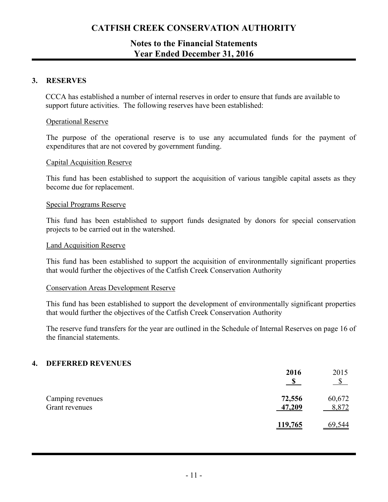### **Notes to the Financial Statements Year Ended December 31, 2016**

#### **3. RESERVES**

CCCA has established a number of internal reserves in order to ensure that funds are available to support future activities. The following reserves have been established:

#### Operational Reserve

The purpose of the operational reserve is to use any accumulated funds for the payment of expenditures that are not covered by government funding.

#### Capital Acquisition Reserve

This fund has been established to support the acquisition of various tangible capital assets as they become due for replacement.

#### Special Programs Reserve

This fund has been established to support funds designated by donors for special conservation projects to be carried out in the watershed.

#### Land Acquisition Reserve

This fund has been established to support the acquisition of environmentally significant properties that would further the objectives of the Catfish Creek Conservation Authority

#### Conservation Areas Development Reserve

This fund has been established to support the development of environmentally significant properties that would further the objectives of the Catfish Creek Conservation Authority

The reserve fund transfers for the year are outlined in the Schedule of Internal Reserves on page 16 of the financial statements.

#### **4. DEFERRED REVENUES**

|                                    | 2016             | 2015<br>$\mathbb{S}$ |
|------------------------------------|------------------|----------------------|
| Camping revenues<br>Grant revenues | 72,556<br>47,209 | 60,672<br>8,872      |
|                                    | 119,765          | 69,544               |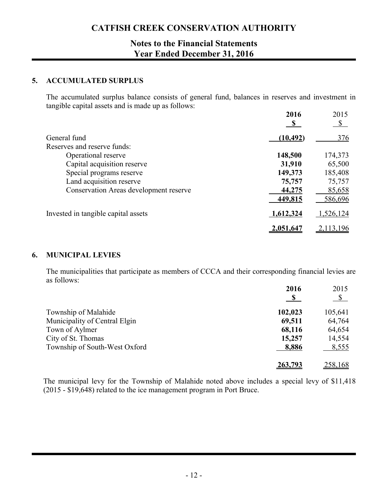### **Notes to the Financial Statements Year Ended December 31, 2016**

#### **5. ACCUMULATED SURPLUS**

The accumulated surplus balance consists of general fund, balances in reserves and investment in tangible capital assets and is made up as follows:

|                                               | 2016<br>\$ | 2015<br>$\mathbb{S}$ |
|-----------------------------------------------|------------|----------------------|
| General fund                                  | (10, 492)  | 376                  |
| Reserves and reserve funds:                   |            |                      |
| Operational reserve                           | 148,500    | 174,373              |
| Capital acquisition reserve                   | 31,910     | 65,500               |
| Special programs reserve                      | 149,373    | 185,408              |
| Land acquisition reserve                      | 75,757     | 75,757               |
| <b>Conservation Areas development reserve</b> | 44,275     | 85,658               |
|                                               | 449,815    | 586,696              |
| Invested in tangible capital assets           | 1,612,324  | 1,526,124            |
|                                               | 2,051,647  | 2,113,196            |

#### **6. MUNICIPAL LEVIES**

The municipalities that participate as members of CCCA and their corresponding financial levies are as follows:

|                               | 2016     | 2015                 |
|-------------------------------|----------|----------------------|
|                               | <b>S</b> | $\frac{S}{\sqrt{2}}$ |
| Township of Malahide          | 102,023  | 105,641              |
| Municipality of Central Elgin | 69,511   | 64,764               |
| Town of Aylmer                | 68,116   | 64,654               |
| City of St. Thomas            | 15,257   | 14,554               |
| Township of South-West Oxford | 8,886    | 8,555                |
|                               | 263,793  | 258,168              |

The municipal levy for the Township of Malahide noted above includes a special levy of \$11,418 (2015 - \$19,648) related to the ice management program in Port Bruce.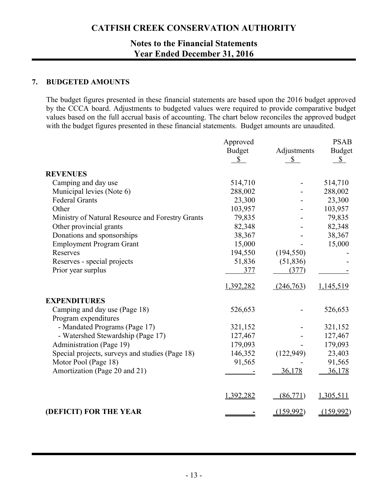### **Notes to the Financial Statements Year Ended December 31, 2016**

#### **7. BUDGETED AMOUNTS**

The budget figures presented in these financial statements are based upon the 2016 budget approved by the CCCA board. Adjustments to budgeted values were required to provide comparative budget values based on the full accrual basis of accounting. The chart below reconciles the approved budget with the budget figures presented in these financial statements. Budget amounts are unaudited.

|                                                  | Approved         |              | <b>PSAB</b>   |
|--------------------------------------------------|------------------|--------------|---------------|
|                                                  | <b>Budget</b>    | Adjustments  | <b>Budget</b> |
|                                                  | $\mathbb{S}$     | $\mathbb{S}$ | $\mathbb{S}$  |
| <b>REVENUES</b>                                  |                  |              |               |
| Camping and day use                              | 514,710          |              | 514,710       |
| Municipal levies (Note 6)                        | 288,002          |              | 288,002       |
| <b>Federal Grants</b>                            | 23,300           |              | 23,300        |
| Other                                            | 103,957          |              | 103,957       |
| Ministry of Natural Resource and Forestry Grants | 79,835           |              | 79,835        |
| Other provincial grants                          | 82,348           |              | 82,348        |
| Donations and sponsorships                       | 38,367           |              | 38,367        |
| <b>Employment Program Grant</b>                  | 15,000           |              | 15,000        |
| <b>Reserves</b>                                  | 194,550          | (194, 550)   |               |
| Reserves - special projects                      | 51,836           | (51, 836)    |               |
| Prior year surplus                               | 377              | (377)        |               |
|                                                  | <u>1,392,282</u> | (246, 763)   | 1,145,519     |
| <b>EXPENDITURES</b>                              |                  |              |               |
| Camping and day use (Page 18)                    | 526,653          |              | 526,653       |
| Program expenditures                             |                  |              |               |
| - Mandated Programs (Page 17)                    | 321,152          |              | 321,152       |
| - Watershed Stewardship (Page 17)                | 127,467          |              | 127,467       |
| Administration (Page 19)                         | 179,093          |              | 179,093       |
| Special projects, surveys and studies (Page 18)  | 146,352          | (122, 949)   | 23,403        |
| Motor Pool (Page 18)                             | 91,565           |              | 91,565        |
| Amortization (Page 20 and 21)                    |                  | 36,178       | 36,178        |
|                                                  | 1,392,282        | (86,771)     | 1,305,511     |
| (DEFICIT) FOR THE YEAR                           |                  | (159,992)    | (159,992)     |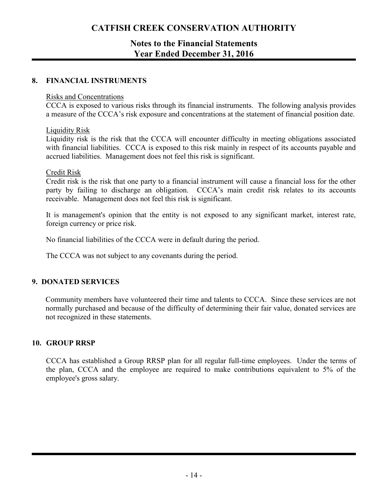### **Notes to the Financial Statements Year Ended December 31, 2016**

#### **8. FINANCIAL INSTRUMENTS**

#### Risks and Concentrations

CCCA is exposed to various risks through its financial instruments. The following analysis provides a measure of the CCCA's risk exposure and concentrations at the statement of financial position date.

#### Liquidity Risk

Liquidity risk is the risk that the CCCA will encounter difficulty in meeting obligations associated with financial liabilities. CCCA is exposed to this risk mainly in respect of its accounts payable and accrued liabilities. Management does not feel this risk is significant.

#### Credit Risk

Credit risk is the risk that one party to a financial instrument will cause a financial loss for the other party by failing to discharge an obligation. CCCA's main credit risk relates to its accounts receivable. Management does not feel this risk is significant.

It is management's opinion that the entity is not exposed to any significant market, interest rate, foreign currency or price risk.

No financial liabilities of the CCCA were in default during the period.

The CCCA was not subject to any covenants during the period.

#### **9. DONATED SERVICES**

Community members have volunteered their time and talents to CCCA. Since these services are not normally purchased and because of the difficulty of determining their fair value, donated services are not recognized in these statements.

#### **10. GROUP RRSP**

CCCA has established a Group RRSP plan for all regular full-time employees. Under the terms of the plan, CCCA and the employee are required to make contributions equivalent to 5% of the employee's gross salary.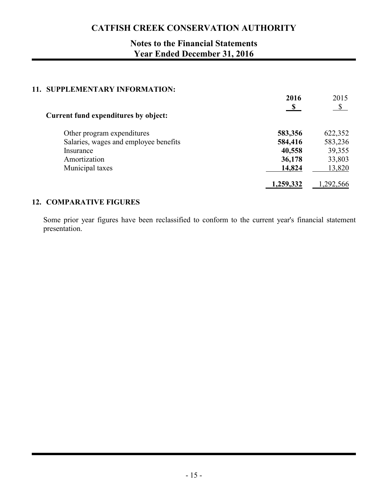# **Notes to the Financial Statements Year Ended December 31, 2016**

#### **11. SUPPLEMENTARY INFORMATION:**

|                                       | 2016      | 2015<br>$\sqrt{\frac{1}{2}}$ |
|---------------------------------------|-----------|------------------------------|
| Current fund expenditures by object:  |           |                              |
| Other program expenditures            | 583,356   | 622,352                      |
| Salaries, wages and employee benefits | 584,416   | 583,236                      |
| Insurance                             | 40,558    | 39,355                       |
| Amortization                          | 36,178    | 33,803                       |
| Municipal taxes                       | 14,824    | 13,820                       |
|                                       | 1,259,332 | 1,292,566                    |

#### **12. COMPARATIVE FIGURES**

Some prior year figures have been reclassified to conform to the current year's financial statement presentation.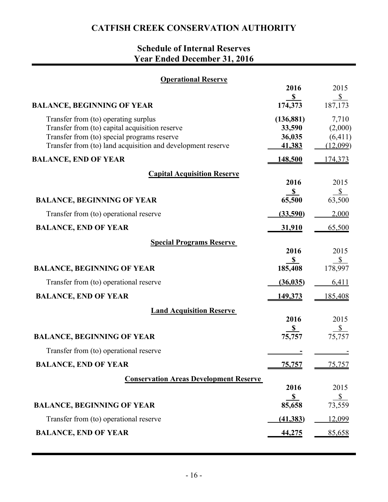# **Schedule of Internal Reserves Year Ended December 31, 2016**

| <b>Operational Reserve</b>                                                                                                                                                                           | 2016                                     | 2015                                     |
|------------------------------------------------------------------------------------------------------------------------------------------------------------------------------------------------------|------------------------------------------|------------------------------------------|
| <b>BALANCE, BEGINNING OF YEAR</b>                                                                                                                                                                    | $\mathbf{s}$<br>174,373                  | $\int$<br>187,173                        |
| Transfer from (to) operating surplus<br>Transfer from (to) capital acquisition reserve<br>Transfer from (to) special programs reserve<br>Transfer from (to) land acquisition and development reserve | (136, 881)<br>33,590<br>36,035<br>41,383 | 7,710<br>(2,000)<br>(6, 411)<br>(12,099) |
| <b>BALANCE, END OF YEAR</b>                                                                                                                                                                          | <u>148,500</u>                           | <u>174,373</u>                           |
| <b>Capital Acquisition Reserve</b>                                                                                                                                                                   |                                          |                                          |
| <b>BALANCE, BEGINNING OF YEAR</b>                                                                                                                                                                    | 2016<br>$\mathbf{s}$<br>65,500           | 2015<br>$\frac{$}{63,500}$               |
| Transfer from (to) operational reserve                                                                                                                                                               | (33,590)                                 | 2,000                                    |
| <b>BALANCE, END OF YEAR</b>                                                                                                                                                                          | <u>31,910</u>                            | 65,500                                   |
| <b>Special Programs Reserve</b>                                                                                                                                                                      | 2016<br>$\mathbb{S}$                     | 2015<br>$rac{$}{178,997}$                |
| <b>BALANCE, BEGINNING OF YEAR</b>                                                                                                                                                                    | 185,408                                  |                                          |
| Transfer from (to) operational reserve                                                                                                                                                               | (36, 035)                                | 6,411                                    |
| <b>BALANCE, END OF YEAR</b>                                                                                                                                                                          | <u>149,373</u>                           | 185,408                                  |
| <b>Land Acquisition Reserve</b>                                                                                                                                                                      | 2016<br>$\mathbf S$                      | 2015                                     |
| <b>BALANCE, BEGINNING OF YEAR</b>                                                                                                                                                                    | 75,757                                   | $\frac{\$}{75,757}$                      |
| Transfer from (to) operational reserve                                                                                                                                                               |                                          |                                          |
| <b>BALANCE, END OF YEAR</b>                                                                                                                                                                          | <u>75,757</u>                            | 75,757                                   |
| <b>Conservation Areas Development Reserve</b>                                                                                                                                                        | 2016                                     | 2015                                     |
| <b>BALANCE, BEGINNING OF YEAR</b>                                                                                                                                                                    | $\mathbf{\$}$<br>85,658                  | $rac{\$}{73,559}$                        |
| Transfer from (to) operational reserve                                                                                                                                                               | (41, 383)                                | <u>12,099</u>                            |
| <b>BALANCE, END OF YEAR</b>                                                                                                                                                                          | <u>44,275</u>                            | 85,658                                   |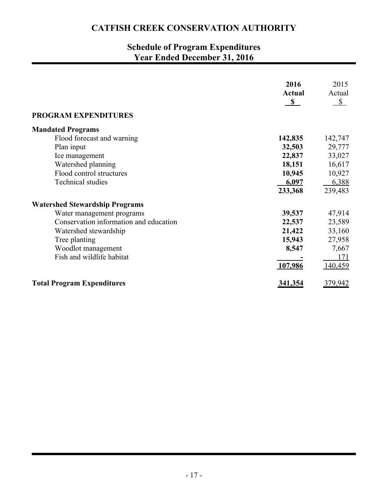# **Schedule of Program Expenditures Year Ended December 31, 2016**

| <b>PROGRAM EXPENDITURES</b>            | 2016<br><b>Actual</b><br>$\sqrt{s}$ | 2015<br>Actual<br>$5$ |
|----------------------------------------|-------------------------------------|-----------------------|
| <b>Mandated Programs</b>               |                                     |                       |
| Flood forecast and warning             | 142,835                             | 142,747               |
| Plan input                             | 32,503                              | 29,777                |
| Ice management                         | 22,837                              | 33,027                |
| Watershed planning                     | 18,151                              | 16,617                |
| Flood control structures               | 10,945                              | 10,927                |
| <b>Technical studies</b>               | 6,097                               | 6,388                 |
|                                        | 233,368                             | 239,483               |
| <b>Watershed Stewardship Programs</b>  |                                     |                       |
| Water management programs              | 39,537                              | 47,914                |
| Conservation information and education | 22,537                              | 23,589                |
| Watershed stewardship                  | 21,422                              | 33,160                |
| Tree planting                          | 15,943                              | 27,958                |
| Woodlot management                     | 8,547                               | 7,667                 |
| Fish and wildlife habitat              |                                     | 171                   |
|                                        | 107,986                             | <u>140,459</u>        |
| <b>Total Program Expenditures</b>      | 341,354                             | 379,942               |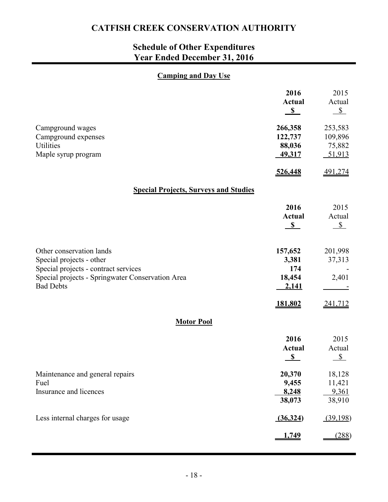# **Schedule of Other Expenditures Year Ended December 31, 2016**

### **Camping and Day Use**

|                                                                                                                                                                      | 2016<br><b>Actual</b><br>$\sqrt{s}$                | 2015<br>Actual<br>S                    |
|----------------------------------------------------------------------------------------------------------------------------------------------------------------------|----------------------------------------------------|----------------------------------------|
| Campground wages<br>Campground expenses<br>Utilities<br>Maple syrup program                                                                                          | 266,358<br>122,737<br>88,036<br>49,317             | 253,583<br>109,896<br>75,882<br>51,913 |
|                                                                                                                                                                      | 526,448                                            | 491,274                                |
| <b>Special Projects, Surveys and Studies</b>                                                                                                                         |                                                    |                                        |
|                                                                                                                                                                      | 2016<br><b>Actual</b><br>$\mathbf{s}$              | 2015<br>Actual<br>$S_{-}$              |
| Other conservation lands<br>Special projects - other<br>Special projects - contract services<br>Special projects - Springwater Conservation Area<br><b>Bad Debts</b> | 157,652<br>3,381<br>174<br>18,454<br>2,141         | 201,998<br>37,313<br>2,401             |
|                                                                                                                                                                      | 181,802                                            | 241,712                                |
| <b>Motor Pool</b>                                                                                                                                                    |                                                    |                                        |
|                                                                                                                                                                      | 2016<br><b>Actual</b><br>$\boldsymbol{\mathsf{S}}$ | 2015<br>Actual<br>$S_{-}$              |
| Maintenance and general repairs<br>Fuel<br>Insurance and licences                                                                                                    | 20,370<br>9,455<br>8,248<br>38,073                 | 18,128<br>11,421<br>9,361<br>38,910    |
| Less internal charges for usage                                                                                                                                      | (36,324)                                           | (39,198)                               |
|                                                                                                                                                                      | <u>1,749</u>                                       | (288)                                  |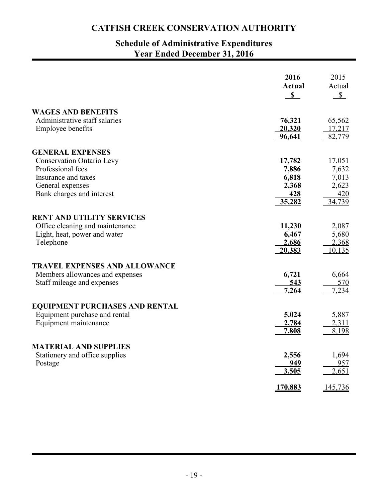### **Schedule of Administrative Expenditures Year Ended December 31, 2016**

|                                       | 2016<br><b>Actual</b><br>$\mathbf S$ | 2015<br>Actual<br>$\mathbb{S}$ |
|---------------------------------------|--------------------------------------|--------------------------------|
| <b>WAGES AND BENEFITS</b>             |                                      |                                |
| Administrative staff salaries         | 76,321                               | 65,562                         |
| <b>Employee benefits</b>              | 20,320                               | <u>17,217</u>                  |
|                                       | 96,641                               | 82,779                         |
| <b>GENERAL EXPENSES</b>               |                                      |                                |
| <b>Conservation Ontario Levy</b>      | 17,782                               | 17,051                         |
| Professional fees                     | 7,886                                | 7,632                          |
| Insurance and taxes                   | 6,818                                | 7,013                          |
| General expenses                      | 2,368                                | 2,623                          |
| Bank charges and interest             | <u>428</u>                           | 420                            |
|                                       | 35,282                               | 34,739                         |
| <b>RENT AND UTILITY SERVICES</b>      |                                      |                                |
| Office cleaning and maintenance       | 11,230                               | 2,087                          |
| Light, heat, power and water          | 6,467                                | 5,680                          |
| Telephone                             | 2,686                                | 2,368                          |
|                                       | 20,383                               | 10,135                         |
| <b>TRAVEL EXPENSES AND ALLOWANCE</b>  |                                      |                                |
| Members allowances and expenses       | 6,721                                | 6,664                          |
| Staff mileage and expenses            | 543                                  | 570                            |
|                                       | 7,264                                | 7,234                          |
|                                       |                                      |                                |
| <b>EQUIPMENT PURCHASES AND RENTAL</b> |                                      |                                |
| Equipment purchase and rental         | 5,024                                | 5,887                          |
| Equipment maintenance                 | 2,784                                | 2,311                          |
|                                       | 7,808                                | 8,198                          |
| <b>MATERIAL AND SUPPLIES</b>          |                                      |                                |
| Stationery and office supplies        | 2,556                                | 1,694                          |
| Postage                               | 949                                  | 957                            |
|                                       | 3,505                                | 2,651                          |
|                                       | 170,883                              | 145,736                        |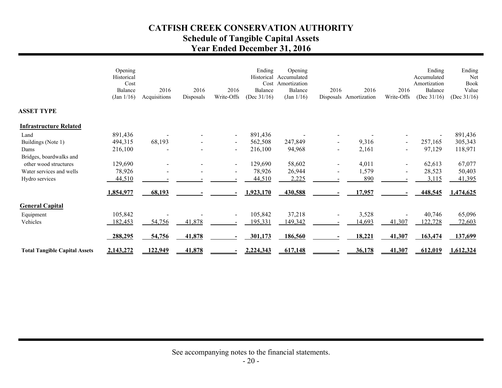# **CATFISH CREEK CONSERVATION AUTHORITY Schedule of Tangible Capital Assets Year Ended December 31, 2016**

|                                      | Opening<br>Historical<br>Cost<br>Balance<br>(Jan 1/16) | 2016<br>Acquisitions | 2016<br>Disposals | 2016<br>Write-Offs       | Ending<br>Historical<br>Cost<br>Balance<br>(Dec $31/16$ ) | Opening<br>Accumulated<br>Amortization<br>Balance<br>(Jan 1/16) | 2016           | 2016<br>Disposals Amortization | 2016<br>Write-Offs       | Ending<br>Accumulated<br>Amortization<br>Balance<br>(Dec $31/16$ ) | Ending<br>Net<br>Book<br>Value<br>(Dec $31/16$ ) |
|--------------------------------------|--------------------------------------------------------|----------------------|-------------------|--------------------------|-----------------------------------------------------------|-----------------------------------------------------------------|----------------|--------------------------------|--------------------------|--------------------------------------------------------------------|--------------------------------------------------|
| <b>ASSET TYPE</b>                    |                                                        |                      |                   |                          |                                                           |                                                                 |                |                                |                          |                                                                    |                                                  |
| <b>Infrastructure Related</b>        |                                                        |                      |                   |                          |                                                           |                                                                 |                |                                |                          |                                                                    |                                                  |
| Land                                 | 891,436                                                |                      |                   | $\sim$                   | 891,436                                                   |                                                                 |                |                                |                          |                                                                    | 891,436                                          |
| Buildings (Note 1)                   | 494,315                                                | 68,193               |                   | $\sim$                   | 562,508                                                   | 247,849                                                         |                | 9,316                          | $\blacksquare$           | 257,165                                                            | 305,343                                          |
| Dams                                 | 216,100                                                |                      |                   | $\blacksquare$           | 216,100                                                   | 94,968                                                          |                | 2,161                          |                          | 97,129                                                             | 118,971                                          |
| Bridges, boardwalks and              |                                                        |                      |                   |                          |                                                           |                                                                 |                |                                |                          |                                                                    |                                                  |
| other wood structures                | 129,690                                                | $\blacksquare$       |                   | $\blacksquare$           | 129,690                                                   | 58,602                                                          |                | 4,011                          |                          | 62,613                                                             | 67,077                                           |
| Water services and wells             | 78,926                                                 | $\blacksquare$       |                   | $\blacksquare$           | 78,926                                                    | 26,944                                                          | $\blacksquare$ | 1,579                          | $\overline{\phantom{a}}$ | 28,523                                                             | 50,403                                           |
| Hydro services                       | 44,510                                                 |                      |                   |                          | 44,510                                                    | 2,225                                                           |                | 890                            |                          | 3,115                                                              | 41,395                                           |
|                                      | 1,854,977                                              | 68,193               |                   |                          | 1,923,170                                                 | 430,588                                                         |                | 17,957                         |                          | 448,545                                                            | 1,474,625                                        |
| <b>General Capital</b>               |                                                        |                      |                   |                          |                                                           |                                                                 |                |                                |                          |                                                                    |                                                  |
| Equipment                            | 105,842                                                |                      |                   | $\overline{\phantom{a}}$ | 105,842                                                   | 37,218                                                          |                | 3,528                          |                          | 40,746                                                             | 65,096                                           |
| Vehicles                             | 182,453                                                | 54,756               | 41,878            |                          | 195,331                                                   | 149,342                                                         |                | 14,693                         | 41,307                   | 122,728                                                            | 72,603                                           |
|                                      |                                                        |                      |                   |                          |                                                           |                                                                 |                |                                |                          |                                                                    |                                                  |
|                                      | 288,295                                                | 54,756               | 41,878            |                          | 301,173                                                   | 186,560                                                         |                | 18,221                         | 41,307                   | 163,474                                                            | 137,699                                          |
| <b>Total Tangible Capital Assets</b> | 2,143,272                                              | 122,949              | 41,878            | $\blacksquare$           | 2,224,343                                                 | 617,148                                                         |                | 36,178                         | 41,307                   | 612,019                                                            | 1,612,324                                        |